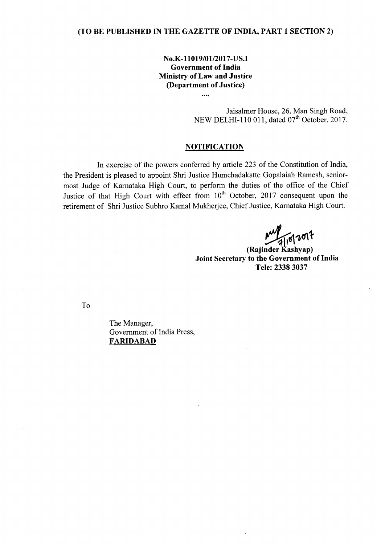# (TO BE PUBLISHED IN THE GAZETTE OF INDIA, PART 1 SECTION 2)

# No.K-11019/01/2017-US.I Government of India Ministry of Law and Justice (Department of Justice)

## Jaisalmer House, 26, Man Singh Road, NEW DELHI-110 011, dated 07<sup>th</sup> October, 2017.

### **NOTIFICATION**

In exercise of the powers conferred by article 223 of the Constitution of India, the President is pleased to appoint Shri Justice Humchadakatte Gopalaiah Ramesh, seniormost Judge of Karnataka High Court, to perform the duties of the office of the Chief Justice of that High Court with effect from  $10<sup>th</sup>$  October, 2017 consequent upon the retirement of Shri Justice Subhro Kamal Mukherjee, Chief Justice, Karnataka High Court.

 $M_{\text{pl}}$ ont

Joint Secretary to the Government of India Tele: 23383037

To

The Manager, Government of India Press, FARIDABAD